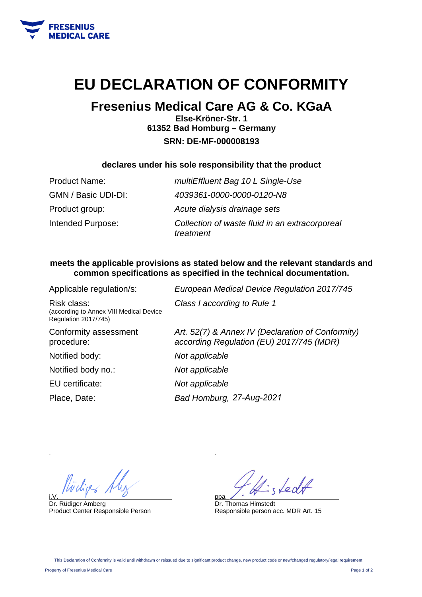

## **EU DECLARATION OF CONFORMITY**

### **Fresenius Medical Care AG & Co. KGaA**

**Else-Kröner-Str. 1 61352 Bad Homburg – Germany SRN: DE-MF-000008193** 

### **declares under his sole responsibility that the product**

| <b>Product Name:</b> | multiEffluent Bag 10 L Single-Use                           |
|----------------------|-------------------------------------------------------------|
| GMN / Basic UDI-DI:  | 4039361-0000-0000-0120-N8                                   |
| Product group:       | Acute dialysis drainage sets                                |
| Intended Purpose:    | Collection of waste fluid in an extracorporeal<br>treatment |

### **meets the applicable provisions as stated below and the relevant standards and common specifications as specified in the technical documentation.**

| Applicable regulation/s:                                                       | European Medical Device Regulation 2017/745                                                   |
|--------------------------------------------------------------------------------|-----------------------------------------------------------------------------------------------|
| Risk class:<br>(according to Annex VIII Medical Device<br>Regulation 2017/745) | Class I according to Rule 1                                                                   |
| Conformity assessment<br>procedure:                                            | Art. 52(7) & Annex IV (Declaration of Conformity)<br>according Regulation (EU) 2017/745 (MDR) |
| Notified body:                                                                 | Not applicable                                                                                |
| Notified body no.:                                                             | Not applicable                                                                                |
| EU certificate:                                                                | Not applicable                                                                                |
| Place, Date:                                                                   | Bad Homburg, 27-Aug-2021                                                                      |
|                                                                                |                                                                                               |

i.V.  $\overline{y}$  and  $\overline{y}$  and  $\overline{y}$  and  $\overline{y}$  and  $\overline{y}$  and  $\overline{y}$  and  $\overline{y}$  and  $\overline{y}$  and  $\overline{y}$  and  $\overline{y}$  and  $\overline{y}$  and  $\overline{y}$  and  $\overline{y}$  and  $\overline{y}$  and  $\overline{y}$  and  $\overline{y}$  and  $\overline{y}$ 

Dr. Rüdiger Amberg Product Center Responsible Person

ppa\_\_\_\_\_\_\_\_\_\_\_\_\_\_\_\_\_\_\_\_\_\_\_\_\_\_\_\_\_\_\_\_

Dr. Thomas Himstedt Responsible person acc. MDR Art. 15

.

.